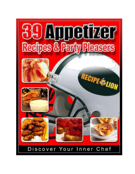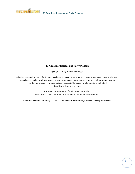

Copyright 2010 by Prime Publishing LLC

All rights reserved. No part of this book may be reproduced or transmitted in any form or by any means, electronic or mechanical, including photocopying, recording, or by any information storage or retrieval system, without written permission from the publisher, except in the case of brief quotations embodied in critical articles and reviews.

> Trademarks are property of their respective holders. When used, trademarks are for the benefit of the trademark owner only.

Published by Prime Publishing LLC, 3400 Dundee Road, Northbrook, IL 60062 – www.primecp.com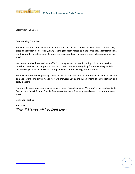

Letter from the Editors

Dear Cooking Enthusiast:

The Super Bowl is almost here, and what better excuse do you need to whip up a bunch of fun, partypleasing appetizer recipes? Truly, any gathering is a great reason to make some easy appetizer recipes, and this wonderful collection of 39 appetizer recipes and party pleasers is sure to help you along your way!

We have assembled some of our staff's favorite appetizer recipes, including chicken wing recipes, bruschetta recipes, and recipes for dips and spreads. We have everything from Hot-n-Easy Buffalo Chicken Wings to Bacon and Garlic Shrimp and Football Spinach Dip, plus lots more.

The recipes in this crowd-pleasing collection are fun and easy, and all of them are delicious. Make one or make several, and any party you host will showcase you as the queen or king of easy appetizers and party pleasers!

For more delicious appetizer recipes, be sure to visit RecipeLion.com. While you're there, subscribe to RecipeLion's free *Quick and Easy Recipes* newsletter to get free recipes delivered to your inbox every week.

Enjoy your parties!

Sincerely,

*The Editors of RecipeLion*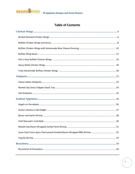

# **Table of Contents**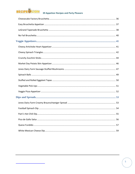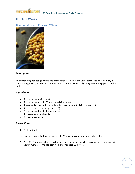<span id="page-5-0"></span>

# **Chicken Wings**

# **Broiled Mustard Chicken Wings**



#### *Description*

As chicken wing recipes go, this is one of my favorites. It's not the usual barbecued or Buffalo-style chicken wing recipe, but one with more character. The mustard really brings something special to the table.

#### *Ingredients*

- 2 tablespoons plain yogurt
- 2 tablespoons plus 1 1/2 teaspoons Dijon mustard
- 1 large garlic clove, minced and mashed to a paste with 1/2 teaspoon salt
- $\bullet$  1<sup>1</sup>/2 pounds chicken wings (about 8)
- 2 tablespoons fine dry bread crumbs
- 1 teaspoon mustard seeds
- 4 teaspoons olive oil

- 1. Preheat broiler.
- 2. In a large bowl, stir together yogurt, 1 1/2 teaspoons mustard, and garlic paste.
- 3. Cut off chicken wing tips, reserving them for another use (such as making stock). Add wings to yogurt mixture, stirring to coat well, and marinate 10 minutes.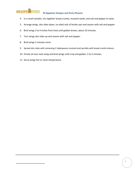

- 4. In a small ramekin, stir together bread crumbs, mustard seeds, and salt and pepper to taste.
- 5. Arrange wings, skin sides down, on oiled rack of broiler pan and season with salt and pepper.
- 6. Broil wings 3 to 4 inches from heat until golden brown, about 10 minutes.
- 7. Turn wings skin sides up and season with salt and pepper.
- 8. Broil wings 5 minutes more.
- 9. Spread skin sides with remaining 2 tablespoons mustard and sprinkle with bread crumb mixture.
- 10. Drizzle oil over each wing and broil wings until crisp and golden, 3 to 5 minutes.
- 11. Serve wings hot or room temperature.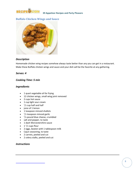<span id="page-7-0"></span>

# **Buffalo Chicken Wings and Sauce**



#### *Description*

Homemade chicken wing recipes somehow always [taste b](http://www.recipelion.com/Appetizers/Buffalo-Chicken-Wings-and-Sauce)etter than any you can get in a restaurant. Make these Buffalo chicken wings and sauce and your dish will be the favorite at any gathering.

#### *Serves: 4*

#### *Cooking Time: 5 min*

#### *Ingredients*

- 1 quart vegetable oil for frying
- 12 chicken wings, small wing joint removed
- 2 cups hot sauce
- 1 cup light sour cream
- $\bullet$   $\frac{1}{2}$  cup half and half
- juice of 1 lemon
- 1 teaspoon minced shallots
- $\bullet$   $\frac{1}{2}$  teaspoon minced garlic
- $\bullet$  <sup>1</sup>/4 pound blue cheese, crumbled
- salt and pepper, to taste
- 1 dash Worcestershire sauce
- $1<sup>1</sup>/2$  cups flour
- 2 eggs, beaten with 1 tablespoon milk
- Cajun seasoning, to taste
- 2 carrots, peeled and cut
- 2 celery stalks, peeled and cut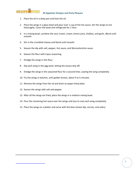

- 1. Place the oil in a deep pan and heat the oil.
- 2. Place the wings in a glass bowl and pour over 1 cup of the hot sauce. Stir the wings to mix thoroughly. Cover the bowl and refrigerate for 1 hour.
- 3. In a mixing bowl, combine the sour cream, cream, lemon juice, shallots, and garlic. Blend until smooth.
- 4. Stir in the crumbled cheese and blend until smooth.
- 5. Season the dip with salt, pepper, hot sauce, and Worcestershire sauce.
- 6. Season the flour with Cajun seasoning.
- 7. Dredge the wings in the flour.
- 8. Dip each wing in the egg wash, letting the excess drip off.
- 9. Dredge the wings in the seasoned flour for a second time, coating the wing completely.
- 10. Fry the wings in batches, until golden brown, about 4 to 5 minutes.
- 11. Remove the wings from the oil and drain on paper-lined plate.
- 12. Season the wings with salt and pepper.
- 13. After all the wings are fried, place the wings in a medium mixing bowl.
- 14. Pour the remaining hot sauce over the wings and toss to coat each wing completely.
- 15. Place the wings on a platter and serve with the blue cheese dip, carrots, and celery.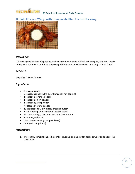<span id="page-9-0"></span>

# **Buffalo Chicken Wings with Homemade Blue Cheese Dressing**



#### *Description*

We love a good chicken wing recipe, and while some are quite difficult and complex, this one is really pretty easy. Not only that, it tastes amazing! With homemade blue cheese dressing, to boot. Yum!

#### *Serves: 8*

#### *Cooking Time: 12 min*

#### *Ingredients*

- 2 teaspoons salt
- 2 teaspoons paprika (mild, or Hungarian hot paprika)
- 1 teaspoon cayenne pepper
- 1 teaspoon onion powder
- 1 teaspoon garlic powder
- $\bullet$   $\frac{3}{4}$  teaspoon white pepper
- 10 tablespoons (1 1/4 sticks) unsalted butter
- 1 tablespoon plus 1 teaspoon Tabasco sauce
- 24 chicken wings, tips removed, room temperature
- 2 cups vegetable oil
- blue cheese dressing (recipe follows)
- celery sticks (optional)

#### *Instructions*

1. Thoroughly combine the salt, paprika, cayenne, onion powder, garlic powder and pepper in a small bowl.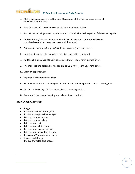

- 2. Melt 5 tablespoons of the butter with 2 teaspoons of the Tabasco sauce in a small saucepan over low heat.
- 3. Pour into a small shallow bowl or pie plate, and let cool slightly.
- 4. Put the chicken wings into a large bowl and coat well with 2 tablespoons of the seasoning mix.
- 5. Add the butter/Tabasco mixture and work in well with your hands until chicken is completely coated and seasonings are well distributed.
- 6. Set aside to marinate (for up to 30 minutes, covered) and heat the oil.
- 7. Heat the oil in a large heavy skillet over high heat until it is very hot.
- 8. Add the chicken wings, fitting in as many as there is room for in a single layer.
- 9. Fry until crisp and golden brown, about 8 to 12 minutes, turning several times.
- 10. Drain on paper towels.
- 11. Repeat with the remaining wings.
- 12. Meanwhile, melt the remaining butter and add the remaining Tabasco and seasoning mix.
- 13. Dip the cooked wings into the sauce place on a serving platter.
- 14. Serve with blue cheese dressing and celery sticks, if desired.

#### *Blue Cheese Dressing*

- $\bullet$  2 eggs
- 1 tablespoon fresh lemon juice
- 1 tablespoon apple cider vinegar
- 1/4 cup chopped onions
- 1/4 cup chopped celery
- 1/2 teaspoon salt
- 1/2 teaspoon white pepper
- 1/8 teaspoon cayenne pepper
- 1/2 teaspoon minced fresh garlic
- 1 teaspoon Worcestershire sauce
- 2 cups vegetable oil
- 1/2 cup crumbled blue cheese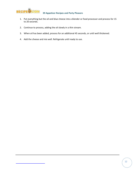

- 1. Put everything but the oil and blue cheese into a blender or food processor and process for 15 to 20 seconds.
- 2. Continue to process, adding the oil slowly in a thin stream.
- 3. When oil has been added, process for an additional 45 seconds, or until well thickened.
- 4. Add the cheese and mix well. Refrigerate until ready to use.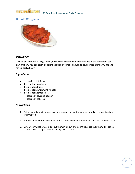<span id="page-12-0"></span>

# **Buffalo Wing Sauce**



#### *Description*

Why go out for Buffalo wings when you can make your own delicious sauce in the comfort of your own kitchen? You can easily double the recipe and make enough to cover twice as many wings and have a party. Enjoy!

### *Ingredients*

- $\bullet$ 1 /2 cup Red Hot Sauce
- $1<sup>1</sup>/2$  tablespoons honey
- 1 tablespoon butter
- 1 tablespoon white wine vinegar
- 1 tablespoon lemon juice
- $\bullet$   $\frac{1}{2}$  teaspoon cayenne pepper
- <sup>1</sup>/2 teaspoon Tabasco

- 1. Put all ingredients in a sauce pan and simmer on low temperature until everything is mixed well/melted.
- 2. Simmer on low for another 5-10 minutes to let the flavors blend and the sauce darken a little.
- 3. When your wings are cooked, put them in a bowl and pour this sauce over them. The sauce should cover a couple pounds of wings. Stir to coat.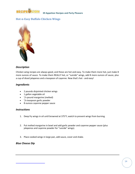<span id="page-13-0"></span>

# **Hot-n-Easy Buffalo Chicken Wings**



#### *Description*

Chicken wing recipes are always good, and these are hot and easy. To make them more hot, just make 8 more ounces of sauce. To make them REALLY hot, or "suicide" wings, add 8 more ounces of sauce, plus a cup of diced jalapenos and a teaspoon of cayenne. Now that's hot - and easy!

#### *Ingredients*

- 2 pounds disjointed chicken wings
- 1 gallon vegetable oil
- $\bullet$  <sup>1</sup>/4 pound margarine (melted)
- $\bullet$   $\frac{1}{8}$  teaspoon garlic powder
- 8 ounces cayenne pepper sauce

#### *Instructions*

- 1. Deep fry wings in oil until browned at 375°F; watch to prevent wings from burning.
- 2. Put melted margarine in bowl and add garlic powder and cayenne pepper sauce (plus jalapenos and cayenne powder for "suicide" wings).
- 3. Place cooked wings in large pan, add sauce, cover and shake.

#### *Blue Cheese Dip*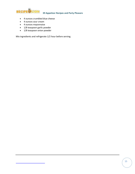

- 4 ounces crumbled blue cheese
- 4 ounces sour cream
- 4 ounces mayonnaise
- 1/8 teaspoon garlic powder
- 1/8 teaspoon onion powder

Mix ingredients and refrigerate 1/2 hour before serving.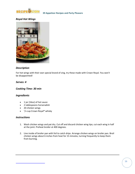

### *Royal Hot Wings*



#### *Description*

For hot wings with their own special brand of zing, try these made with Crown Royal. You won't be disappointed!

#### *Serves: 4*

#### *Cooking Time: 30 min*

#### *Ingredients*

- 1 jar (16oz) of hot sauce
- 2 tablespoons horseradish
- 20 chicken wings
- $\bullet$   $^{-1}/$ 4 cup Crown Royal® whisky

- 1. Wash chicken wings and pat dry. Cut off and discard chicken wing tips; cut each wing in half at the joint. Preheat broiler at 400 degrees.
- 2. Line inside of broiler pan with foil to catch drips. Arrange chicken wings on broiler pan. Broil chicken wings about 6 inches from heat for 15 minutes, turning frequently to keep them from burning.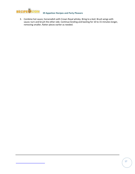

3. Combine hot sauce, horseradish with Crown Royal whisky. Bring to a boil. Brush wings with sauce; turn and brush the other side. Continue broiling and basting for 10 to 15 minutes longer, removing smaller, flatter pieces earlier as needed.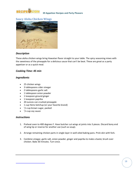<span id="page-17-0"></span>

### **Saucy Aloha Chicken Wings**



#### *Description*

These aloha chicken wings bring Hawaiian flavor straight to your table. The spicy seasoning mixes with the sweetness of the pineapple for a delicious sauce that can't be beat. These are great as a party appetizer or as a quick meal.

#### *Cooking Time: 45 min*

#### *Ingredients*

- 25 chicken wings
- 3 tablespoons cider vinegar
- 2 tablespoons garlic salt
- 1 tablespoon onion powder
- 1 teaspoon ground ginger
- 1 teaspoon paprika
- 20 ounces can crushed pineapple
- 1 cup Heinz ketchup (or your favorite brand)
- $\bullet$ 1 /4 cup brown sugar, packed
- $\bullet$   $\frac{1}{4}$  cup soy sauce

- 1. Preheat oven to 400 degrees F. Have butcher cut wings at joints into 3 pieces. Discard bony end of wing tip or reserve for another use (such as soup).
- 2. Arrange remaining chicken parts in single layer in well-oiled baking pans. Prick skin with fork.
- 3. Combine vinegar, garlic salt, onion powder, ginger and paprika to make a baste; brush over chicken. Bake 30 minutes. Turn once.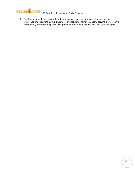

4. Combine pineapple and juice with ketchup, brown sugar, and soy sauce. Spoon sauce over wings. Continue roasting 15 minutes more, or until done. Remove wings to serving platter. Serve immediately or until serving time. Wings may be reheated in oven or over hot coals on a grill.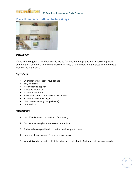<span id="page-19-0"></span>

# **Truly Homemade Buffalo Chicken Wings**



### *Description*

If you're looking for a truly homemade recipe for chicken wings, this is it! Everything, right down to the mayo that's in the blue cheese dressing, is homemade, and the taste cannot be beat! Homemade is the best.

#### *Ingredients*

- 24 chicken wings, about four pounds
- salt, if desired
- freshly ground pepper
- 4 cups vegetable oil
- 4 tablespoons butter
- 2 to 5 tablespoons Louisiana Red Hot Sauce
- 1 tablespoon white vinegar
- blue cheese dressing (recipe below)
- celery sticks

- 1. Cut off and discard the small tip of each wing.
- 2. Cut the main wing bone and second at the joint.
- 3. Sprinkle the wings with salt, if desired, and pepper to taste.
- 4. Heat the oil in a deep-fat fryer or large casserole.
- 5. When it is quite hot, add half of the wings and cook about 10 minutes, stirring occasionally.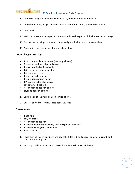

- 6. When the wings are golden brown and crisp, remove them and drain well.
- 7. Add the remaining wings and cook about 10 minutes or until golden brown and crisp.
- 8. Drain well.
- 9. Melt the butter in a saucepan and add two to five tablespoons of the hot sauce and vinegar.
- 10. Put the chicken wings on a warm platter and pour the butter mixture over them.
- 11. Serve with blue cheese dressing and celery sticks.

#### *Blue Cheese Dressing*

- 1 cup homemade mayonnaise (see recipe below)
- 2 tablespoons finely chopped onion
- 1 teaspoon finely minced garlic
- 1/4 cup finely chopped parsley
- 1/2 cup sour cream
- 1 tablespoon lemon juice
- 1 tablespoon white vinegar
- 1/4 cup crumbled blue cheese
- salt to taste, if desired
- freshly ground pepper, to taste
- cayenne pepper, to taste
- 1. Combine all of the ingredients in a mixing bowl.
- 2. Chill for an hour or longer. Yields about 2½ cups.

#### *Mayonnaise*

- 1 egg yolk
- salt, if desired
- freshly ground pepper
- 1 teaspoon imported mustard, such as Dijon or Dusseldorf
- 1 teaspoon vinegar or lemon juice
- 1 cup olive oil
- 1. Place the yolk in a mixing bowl and add salt, if desired, and pepper to taste, mustard, and vinegar or lemon juice.
- 2. Beat vigorously for a second or two with a wire whisk or electric beater.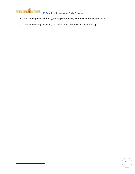

- 3. Start adding the oil gradually, beating continuously with the whisk or electric beater.
- 4. Continue beating and adding oil until all of it is used. Yields about one cup.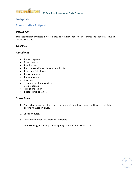<span id="page-22-0"></span>

# **Antipasta**

### **Classic Italian Antipasto**

#### *Description*

This classic Italian antipasto is just like they do it in Italy! Your Italian relatives and friends will love this throwback recipe.

#### *Yields: 10*

#### *Ingredients*

- 2 green peppers
- 2 celery stalks
- 1 garlic clove
- 1 medium cauliflower, broken into florets
- 1 cup tuna fish, drained
- 1 teaspoon sugar
- 1 medium onion
- 3 carrots
- $\bullet$   $\frac{1}{2}$  pound mushrooms, sliced
- 2 tablespoons oil
- juice of one lemon
- 1 bottle ketchup (13 oz)

- 1. Finely chop peppers, onion, celery, carrots, garlic, mushrooms and cauliflower; cook in hot oil for 5 minutes, mix well.
- 2. Cook 5 minutes.
- 3. Pour into sterilized jars, cool and refrigerate.
- 4. When serving, place antipasto in a pretty dish, surround with crackers.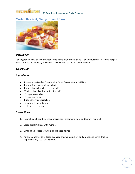<span id="page-23-0"></span>

# **Market Day Zesty Tailgate Snack Tray**



#### *Description*

Looking for an easy, delicious appetizer to serve at your next party? Look no further! This Zesty Tailgate Snack Tray recipe courtesy of Market Day is sure to be the hit of your event.

#### *Yields: 100*

#### *Ingredients*

- 1 tablespoon Market Day Carolina Coast Sweet Mustard #7283
- 1 box string cheese, sliced in half
- 1 box colby jack sticks, sliced in half
- 50 slices thin-sliced salami, cut in half
- $\bullet$   $\frac{1}{2}$  cup mayonnaise
- $\bullet$   $\frac{1}{2}$  cup sour cream
- 1 box variety pack crackers
- $\bullet$ <sup>1</sup>/4 pound fresh red grapes
- $\bullet$   $\frac{1}{2}$  fresh green grapes

- 1. In small bowl, combine mayonnaise, sour cream, mustard and honey; mix well.
- 2. Spread salami slices with mixture.
- 3. Wrap salami slices around sliced cheese halves.
- 4. Arrange on favorite tailgating canapé tray with crackers and grapes and serve. Makes approximately 100 serving bites.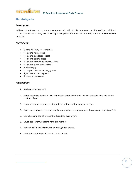<span id="page-24-0"></span>

# **Hot Antipasto**

#### *Description*

While most antipasto you come across are served cold, this dish is a warm rendition of the traditional Italian favorite. It's so easy to make using those pop-open-tube crescent rolls, and the outcome tastes fantastic!

#### *Ingredients*

- 2 cans Pillsbury crescent rolls
- $\bullet$ 1 /4 pound ham, sliced
- $\bullet$   $\frac{1}{4}$  pound pepperoni slices
- $\bullet$   $\frac{1}{4}$  pound salami slices
- $\bullet$   $\frac{1}{4}$  pound provolone cheese, sliced
- $\bullet$   $\frac{1}{4}$  pound Swiss cheese slices
- 3 whole eggs
- $\bullet$   $\frac{1}{4}$  cup Parmesan cheese, grated
- 1 jar roasted red peppers
- 2 tablespoons water

- 1. Preheat oven to 450°F.
- 2. Spray rectangle baking dish with nonstick spray and unroll 1 can of crescent rolls and lay on bottom of pan.
- 3. Layer meat and cheeses, ending with all of the roasted peppers on top.
- 4. Beat eggs and water in bowl; add Parmesan cheese and pour over layers, reserving about 1/3.
- 5. Unroll second can of crescent rolls and lay over layers.
- 6. Brush top layer with remaining egg mixture.
- 7. Bake at 450°F for 20 minutes or until golden brown.
- 8. Cool and cut into small squares. Serve warm.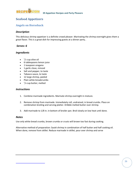<span id="page-25-0"></span>

# **Seafood Appetizers**

### **Angels on Horseback**

#### *Description*

This delicious shrimp appetizer is a definite crowd pleaser. Marinating the shrimp overnight gives them a great flavor. This is a great dish for impressing guests at a dinner party..

#### *Serves: 6*

#### *Ingredients*

- $\bullet$   $\frac{1}{2}$  cup olive oil
- 6 tablespoons lemon juice
- 1 teaspoon oregano
- 1 garlic clove, minced
- Salt and pepper, to taste
- Tabasco sauce, to taste
- 12 large shrimp, peeled
- Plain white breadcrumbs
- $\bullet$   $\frac{1}{4}$  cup butter, melted

#### *Instructions*

- 1. Combine marinade ingredients. Marinate shrimp overnight in mixture.
- 2. Remove shrimp from marinade. Immediately roll, undrained, in bread crumbs. Place on combination broiling and serving platter. Dribble melted butter over shrimp.
- 3. Add marinade to 1/8 in. in bottom of broiler pan. Broil slowly on low heat until done.

#### *Notes*

Use only white bread crumbs, brown crumbs or crusts will brown too fast during cooking.

Alternative method of preparation: Sauté shrimp in combination of half butter and half cooking oil. When done, remove from skillet. Reduce marinade in skillet, pour over shrimp and serve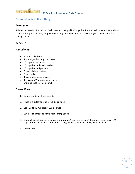<span id="page-26-0"></span>

# **Annie's Hostess Crab Delight**

#### *Description*

This recipe certainly is a delight. Crab meat and rice pull it all together for one heck of a meal. Learn how to make this quick and easy recipe today. It only take a few until you have this great meal. Great for having guests.

#### *Serves: 8*

#### *Ingredients*

- 3 cups cooked rice
- 1 pound jumbo lump crab meat
- $\bullet$   $\frac{1}{4}$  cup minced onion
- $\bullet$   $\frac{1}{4}$  cup chopped fresh parsley
- $\bullet$   $\frac{1}{4}$  cup chopped pimiento
- 3 eggs, slightly beaten
- 2 cups milk
- 1 cup grated sharp cheese
- 1 teaspoon Worcestershire sauce
- Shrimp Sauce (recipe below)

- 1. Gently combine all ingredients.
- 2. Place in a buttered 8 x 11-inch baking pan.
- 3. Bake 35 to 45 minutes at 325 degrees.
- 4. Cut into squares and serve with Shrimp Sauce.
- 5. Shrimp Sauce: 2 cans of cream of shrimp soup, 1 cup sour cream, 1 teaspoon lemon juice, 1/2 cup shrimp, cooked and cut up Blend all ingredients and warm slowly over low heat.
- 6. Do not boil.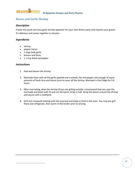<span id="page-27-0"></span>

# **Bacon and Garlic Shrimp**

#### *Description*

Create this quick and easy garlic shrimp appetizer for your next dinner party and impress your guests. It's delicious and comes together in minutes.

#### *Ingredients*

- shrimp
- pepper bacon
- 1 large bulb garlic
- lemons and limes
- 1 -2 tsp dried red pepper

- 1. Peel and devein the shrimp.
- 2. Marinate them with all the garlic (peeled and crushed), the red pepper and enough of equal amounts of fresh lime and lemon juice to cover all the shrimp. Marinate in the fridge for 3-6 hours.
- 3. After marinating, drain the shrimp (If you are grilling outside I recommend that you save the marinade and baste with it) and cut the bacon strips in half. Wrap the bacon around the shrimp and secure with a toothpick.
- 4. Grill over mesquite basting with the reserved marinade or broil in the oven. You may pre-grill these and refrigerate, then warm in the broiler prior to serving.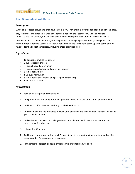<span id="page-28-0"></span>

# **Chef Shannah's Crab Balls**

#### *Description*

What do a football player and chef have in common? They share a love for good food, and in this case,

they're brother and sister. Chef Shannah Spencer is not only the sister of New England Patriots Defensive End Jarvis Green, but she's the chef at his Capitol Sports Restaurant in Donaldsonville, La.

Chef Shannah is a true down home, self taught chef, drawing inspiration from growing up in her grandmother, Georgina Caesar's, kitchen. Chef Shannah and Jarvis have come up with some of their favorite football appetizer recipes, including these tasty crab balls.

### *Ingredients*

- 16 ounces can white crab meat
- 8 ounces cream cheese
- $\bullet$   $\frac{1}{2}$  cup chopped green onion
- $\bullet$  <sup>1</sup>/2 cup dehydrated red and green bell pepper
- 3 tablespoons butter
- $\bullet$  1  $\frac{1}{2}$  cups half & half
- 3 tablespoons seasonal all and garlic powder (mixed)
- 1 can bread crumbs

- 1. Take quart size pot and melt butter
- 2. Add green onion and dehydrated bell peppers to butter. Sauté until almost golden brown.
- 3. Add half & half to mixture and bring to a boil. Reduce heat.
- 4. Add cream cheese and work into mixture until dissolved and well blended. Add season all and garlic powder mixture.
- 5. Add crabmeat and work into all ingredients until blended well. Cook for 15 minutes and then remove from burner.
- 6. Let cool for 30 minutes.
- 7. Add bread crumbs to a mixing bowl. Scoop 2 tbsp of crabmeat mixture at a time and roll into bread crumbs. Place scoops on wax paper.
- 8. Refrigerate for at least 24 hours or freeze mixture until ready to cook.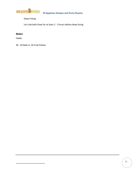

Deep Frying:

Let crab balls thaw for at least 2 - 3 hours before deep frying

### *Notes*

Yields:

30 - 50 Balls or 10 Crab Patties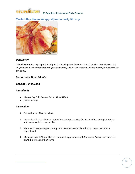<span id="page-30-0"></span>

# **Market Day Bacon Wrapped Jumbo Party Shrimp**



#### *Description*

When it comes to easy appetizer recipes, it doesn't get much easier than this recipe from Market Day! All you need is two ingredients and your two hands, and in 2 minutes you'll have yummy fare perfect for any party.

#### *Preparation Time: 10 min*

#### *Cooking Time: 1 min*

#### *Ingredients*

- Market Day Fully Cooked Bacon Slices #4068
- jumbo shrimp

- 1. Cut each slice of bacon in half.
- 2. Wrap the half slice of bacon around one shrimp, securing the bacon with a toothpick. Repeat with as many shrimp as you like.
- 3. Place each bacon wrapped shrimp on a microwave safe plate that has been lined with a paper towel.
- 4. Microwave on HIGH until bacon is warmed, approximately 1-2 minutes. Do not over heat. Let stand 1 minute and then serve.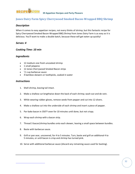<span id="page-31-0"></span>

# **Jones Dairy Farm Spicy Cherrywood Smoked Bacon-Wrapped BBQ Shrimp**

#### *Description*

When it comes to easy appetizer recipes, not every thinks of shrimp, but this fantastic recipe for Spicy Cherrywood Smoked Bacon-Wrapped BBQ Shrimp from Jones Dairy Farm is as easy as it is delicious. You'll want to make a double batch, because these will get eaten up quickly!

#### *Serves: 4*

#### *Cooking Time: 10 min*

#### *Ingredients*

- 12 medium-size fresh uncooked shrimp
- 1 small jalapeno
- 12 Jones Cherrywood Smoked Bacon strips
- $\bullet$   $\frac{1}{2}$  cup barbecue sauce
- 4 bamboo skewers or toothpicks, soaked in water

- 1. Shell shrimp, leaving tail intact.
- 2. Make a shallow cut lengthwise down the back of each shrimp; wash out and de-vein.
- 3. While wearing rubber gloves, remove seeds from pepper and cut into 12 slivers.
- 4. Make a shallow cut into the underside of each shrimp and insert a piece of pepper.
- 5. Par-bake bacon in 350°F oven for 10 minutes until done, but not crispy.
- 6. Wrap each shrimp with a bacon strip.
- 7. Thread 3 bacon/shrimp bundles onto each skewer, leaving a small space between bundles.
- 8. Baste with barbecue sauce.
- 9. Grill or pan sear, uncovered, for 4 to 5 minutes. Turn, baste and grill an additional 4 to 5 minutes, or until bacon is crisp and shrimp has turned pink.
- 10. Serve with additional barbecue sauce (discard any remaining sauce used for basting).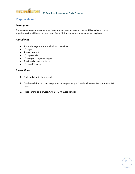<span id="page-32-0"></span>

# **Tequila Shrimp**

#### *Description*

Shrimp appetizers are great because they are super easy to make and serve. This marinated shrimp appetizer recipe will blow you away with flavor. Shrimp appetizers are guaranteed to please.

#### *Ingredients*

- 2 pounds large shrimp, shelled and de-veined
- $\bullet$   $\frac{1}{2}$  cup oil
- 1 teaspoon salt
- $\bullet$   $\frac{1}{4}$  cup tequila
- $\bullet$   $^{-1}/$ 4 teaspoon cayenne pepper
- 4 to 6 garlic cloves, minced
- $\bullet$   $\frac{1}{2}$  cup chili sauce

- 1. Shell and devein shrimp; chill.
- 2. Combine shrimp, oil, salt, tequila, cayenne pepper, garlic and chili sauce. Refrigerate for 1-2 hours.
- 3. Place shrimp on skewers. Grill 2 to 3 minutes per side.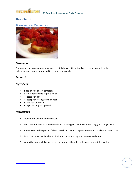<span id="page-33-0"></span>

# **Bruschetta**

### **Bruschetta Al Pomodoro**



#### *Description*

For a unique spin on a pomodoro sauce, try this bruschetta instead of the usual pasta. It makes a delightful appetizer or snack, and it's really easy to make.

#### *Serves: 6*

#### *Ingredients*

- 1 basket ripe cherry tomatoes
- 5 tablespoons extra virgin olive oil
- $\bullet$   $\frac{1}{2}$  teaspoon salt
- $\bullet$   $\frac{1}{4}$  teaspoon fresh ground pepper
- 6 slices Italian bread
- 3 large cloves garlic, peeled

- 1. Preheat the oven to 450F degrees.
- 2. Place the tomatoes in a medium-depth roasting pan that holds them snugly in a single layer.
- 3. Sprinkle on 2 tablespoons of the olive oil and salt and pepper to taste and shake the pan to coat.
- 4. Roast the tomatoes for about 15 minutes or so, shaking the pan now and then.
- 5. When they are slightly charred on top, remove them from the oven and set them aside.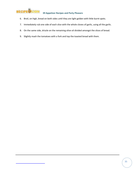

- 6. Broil, on high, bread on both sides until they are light golden with little burnt spots.
- 7. Immediately rub one side of each slice with the whole cloves of garlic, using all the garlic.
- 8. On the same side, drizzle on the remaining olive oil divided amongst the slices of bread.
- 9. Slightly mash the tomatoes with a fork and top the toasted bread with them.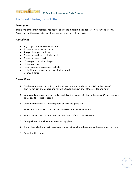<span id="page-35-0"></span>

# **Cheesecake Factory Bruschetta**

#### *Description*

This is one of the most delicious recipes for one of the most simple appetizers - you can't go wrong. Serve copycat Cheesecake Factory Bruschetta at your next dinner party.

#### *Ingredients*

- $\bullet$  1<sup>1</sup>/2 cups chopped Roma tomatoes
- 3 tablespoons diced red onions
- 1 large clove garlic, minced
- 2 tablespoons fresh basil, chopped
- 2 tablespoons olive oil
- $\bullet$   $\frac{1}{2}$  teaspoon red wine vinegar
- $\bullet$   $\frac{1}{4}$  teaspoon salt
- freshly ground black pepper, to taste
- $\bullet$ 1 /2 loaf French baguette or crusty Italian bread
- 3 sprigs cilantro

- 1. Combine tomatoes, red onion, garlic and basil in a medium bowl. Add 1/2 tablespoon of oil, vinegar, salt and pepper and mix well. Cover the bowl and refrigerate for one hour.
- 2. When ready to serve, preheat broiler and slice the baguette in 1-inch slices on a 45 degree angle to make 5 to 7 slices of bread.
- 3. Combine remaining 1 1/2 tablespoons oil with the garlic salt.
- 4. Brush entire surface of both sides of each slice with olive oil mixture.
- 5. Broil slices for 1 1/2 to 2 minutes per side, until surface starts to brown.
- 6. Arrange bread like wheel spokes on serving plate.
- 7. Spoon the chilled tomato in neatly onto bread slices where they meet at the center of the plate.
- 8. Garnish with cilantro.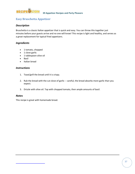<span id="page-36-0"></span>

# **Easy Bruschetta Appetizer**

#### *Description*

Bruschetta is a classic Italian appetizer that is quick and easy. You can throw this together just minutes before your guests arrive and no one will know! This recipe is light and healthy, and serves as a great replacement for typical fried appetizers.

#### *Ingredients*

- 1 tomato, chopped
- 1 clove garlic
- 1 tablespoon olive oil
- Basil
- Italian bread

#### *Instructions*

- 1. Toast/grill the bread until it is crispy.
- 2. Rub the bread with the cut clove of garlic -- careful, the bread absorbs more garlic than you expect.
- 3. Drizzle with olive oil. Top with chopped tomato, then ample amounts of basil.

#### *Notes*

This recipe is great with homemade bread.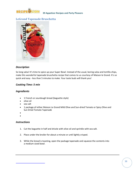<span id="page-37-0"></span>

# **LeGrand Tapenade Bruschetta**



### *Description*

So long salsa! It's time to spice up your Super Bowl. Instead of the usual, boring salsa and tortilla chips, make this wonderful tapenade bruschetta recipe that comes to us courtesy of Maison le Grand. It's so quick and easy - less than 5 minutes to make. Your taste buds will thank you!

#### *Cooking Time: 5 min*

#### *Ingredients*

- 1 French or sourdough bread (baguette style)
- olive oil
- sea salt
- 1 package of either Maison Le Grand Mild Olive and Sun-dried Tomato or Spicy Olive and Sun Dried Tomato Tapenade
- $\bullet$
- $\bullet$

- 1. Cut the baguette in half and drizzle with olive oil and sprinkle with sea salt.
- 2. Place under the broiler for about a minute or until lightly crisped.
- 3. While the bread is toasting, open the package tapenade and squeeze the contents into a medium sized bowl.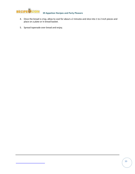

- 4. Once the bread is crisp, allow to cool for about a 2 minutes and slice into 1 to 2 inch pieces and place on a plate or in bread basket.
- 5. Spread tapenade over bread and enjoy.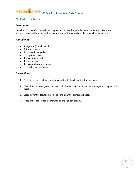<span id="page-39-0"></span>

### **No Fail Bruschetta**

#### *Description*

Bruschetta is one of those really easy appetizer recipes that people love to serve at parties. It's no wonder, because this no fail recipe is simple and delicious, and people know what tastes good!

#### *Ingredients*

- 1 baguette (French bread)
- 2 Roma tomatoes
- 2 cloves minced garlic
- $\bullet$   $\frac{1}{2}$  cup fresh basil
- 1 teaspoon lemon juice
- 1 tablespoon oil
- 1 teaspoon balsamic vinegar
- $\bullet$   $\frac{1}{4}$  cup Parmesan cheese

- 1. Slice the bread lengthwise and toast under the broiler or in a toaster oven.
- 2. Chop the tomatoes, garlic, and basil; add the lemon juice, oil, balsamic vinegar and pepper. Mix together.
- 3. Spread over the toasted bread and sprinkle with Parmesan cheese.
- 4. Place under broiler for 2-3 minutes or until golden brown.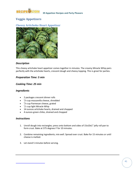<span id="page-40-0"></span>

# **Veggie Appetizers**

### **Cheesy Artichoke Heart Appetizer**



#### *Description*

This cheesy artichoke heart appetizer comes together in minutes. The creamy Miracle Whip pairs perfectly with the artichoke hearts, crescent dough and cheesy topping. This is great for parties.

#### *Preparation Time: 5 min*

#### *Cooking Time: 25 min*

#### *Ingredients*

- 2 packages crescent dinner rolls
- $\bullet$   $\frac{3}{4}$  cup mozzarella cheese, shredded
- $\bullet$   $\frac{3}{4}$  cup Parmesan cheese, grated
- $\bullet$  <sup>1</sup>/2 cup light Miracle Whip
- 14 ounces artichoke hearts, drained and chopped
- 4 ounces green chiles, drained and chopped

- 1. Unroll dough into rectangles; press onto bottom and sides of 15x10x1" jelly roll pan to form crust. Bake at 375 degrees F for 10 minutes.
- 2. Combine remaining ingredients; mix well. Spread over crust. Bake for 15 minutes or until cheese is melted.
- 3. Let stand 5 minutes before serving.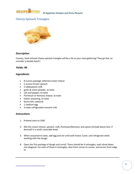<span id="page-41-0"></span>

# **Cheesy Spinach Triangles**



#### *Description*

Creamy, herb-infused cheesy spinach triangles will be a hit at your next gathering! They go fast, so consider a double batch!

#### *Yields: 96*

#### *Ingredients*

- 8 ounces package softened cream cheese
- 5 ounces frozen spinach
- 2 tablespoons milk
- garlic & onion powder, to taste
- salt and pepper, to taste
- Parmesan or Romano cheese, to taste
- Italian seasoning, to taste
- bacon bits, optional
- 1 medium egg
- 3 tubes refrigerated crescent rolls

- 1. Preheat oven to 350F.
- 2. Mix the cream cheese, spinach, milk, Parmesan/Romano, and spices [include bacon bits, if desired] in a small, coverable bowl.
- 3. When seasoned to taste, add egg and stir until well mixed. Cover, and refrigerate while working with the dough.
- 4. Open the first package of dough and unroll. There should be 4 rectangles, each sliced down one diagonal. For each of these 4 rectangles, slice from corner to corner, and across from edge to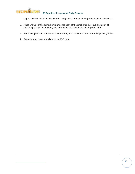

edge . This will result in 8 triangles of dough [or a total of 32 per package of crescent rolls].

- 5. Place 1/2 tsp. of the spinach mixture onto each of the small triangles, pull one point of the triangle over the mixture, and tuck under the bottom on the opposite side.
- 6. Place triangles onto a non-stick cookie sheet, and bake for 10 min. or until tops are golden.
- 7. Remove from oven, and allow to cool 2-3 min.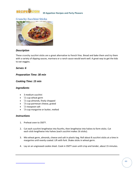<span id="page-43-0"></span>

# **Crunchy Zucchini Sticks**



#### *Description*

These crunchy zucchini sticks are a great alternative to french fries. Bread and bake them and try them with a variety of dipping sauces, marinara or a ranch sauce would work well. A great way to get the kids to eat veggies.

#### *Serves: 6*

#### *Preparation Time: 30 min*

#### *Cooking Time: 15 min*

#### *Ingredients*

- 3 medium zucchini
- $\bullet$   $\frac{1}{2}$  cup wheat germ
- $\bullet$   $\frac{1}{2}$  cup almonds, finely chopped
- $\bullet$   $\frac{1}{4}$  cup parmesan cheese, grated
- $\bullet$   $\frac{1}{2}$  teaspoon salt
- $\bullet$   $\frac{1}{4}$  cup margarine or butter, melted

- 1. Preheat oven to 350°F.
- 2. Cut each zucchini lengthwise into fourths, then lengthwise into halves to form sticks. Cut each stick lengthwise into halves (each zucchini makes 16 sticks).
- 3. Mix wheat germ, almonds, cheese and salt in plastic bag. Roll about 8 zucchini sticks at a time in margarine until evenly coated. Lift with fork. Shake sticks in wheat germ.
- 4. Lay on an ungreased cookie sheet. Cook in 350°F oven until crisp and tender, about 15 minutes.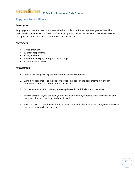

# **Peppered Green Olives**

#### *Description*

Amp up your olives! Impress your guests with this simple appetizer of peppered green olives. The herbs and lemon enhance the flavor of often bland grocery store olives. You don't even have to cook this appetizer. It makes a great summer treat on a warm day.

#### *Ingredients*

- 2 cups green olives
- 30 black peppercorns
- 1 Meyer lemon
- 6 lemon thyme sprigs or regular thyme sprigs
- 2 tablespoons olive oil

- 1. Drain olives and place in glass or other non-reactive container.
- 2. Using a wooden mallet or the back of a wooden spoon, hit the peppercorns just enough to bruise or barely crack them. Add to the olives.
- 3. Cut the lemon into 12-15 pieces, removing the seeds. Add the lemon to the olives.
- 4. Rub the sprigs of thyme between your hands over the bowl, dropping some of the leaves onto the olives, then add the sprigs and the olive oil.
- 5. Turn the olives to coat them with the mixture. Cover with plastic wrap and refrigerate at least 24 hrs, or up to 3 days before serving.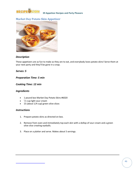<span id="page-45-0"></span>

# **Market Day Potato Skin Appetizer**



#### *Description*

These appetizers are as fun to make as they are to eat, and everybody loves potato skins! Serve them at your next party and they'll be gone in a snap.

#### *Serves: 5*

#### *Preparation Time: 5 min*

#### *Cooking Time: 12 min*

#### *Ingredients*

- 1 pound box Market Day Potato Skins #6020
- $\bullet$ 1 /2 cup light sour cream
- 15 (about 1/4 cup) green olive slices

- 1. Prepare potato skins as directed on box.
- 2. Remove from oven and immediately top each skin with a dollop of sour cream and a green olive slice creating eyeballs.
- 3. Place on a platter and serve. Makes about 5 servings.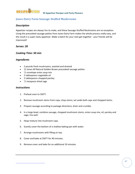<span id="page-46-0"></span>

# **Jones Dairy Farm Sausage-Stuffed Mushrooms**

#### *Description*

Appetizer recipes are always fun to make, and these Sausage-Stuffed Mushrooms are no exception. Using the precooked sausage patties from Jones Dairy Farm makes the whole process really easy, and the result is a super-tasty appetizer. Make a batch for your next get-together - your friends will be impressed!

#### *Serves: 20*

#### *Cooking Time: 50 min*

#### *Ingredients*

- 2 pounds fresh mushrooms, washed and drained
- 12 Jones All Natural Golden Brown precooked sausage patties
- $\bullet$   $\frac{1}{2}$  envelope onion soup mix
- 2 tablespoons vegetable oil
- 2 tablespoons chopped parsley
- $\bullet$   $\frac{1}{2}$  teaspoon dried sage

- 1. Preheat oven to 350°F.
- 2. Remove mushroom stems from caps; chop stems; set aside both caps and chopped stems.
- 3. Prepare sausage according to package directions; drain and crumble.
- 4. In a large bowl, combine sausage, chopped mushroom stems, onion soup mix, oil, parsley and sage; mix well.
- 5. Heap mixture into mushroom caps.
- 6. Scantly cover the bottom of a shallow baking pan with water.
- 7. Arrange mushrooms with filling on top.
- 8. Cover and bake at 350°F for 40 minutes.
- 9. Remove cover and bake for an additional 10 minutes.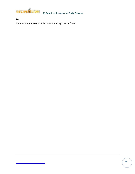

*Tip*

For advance preparation, filled mushroom caps can be frozen.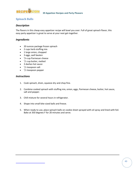<span id="page-48-0"></span>

# **Spinach Balls**

#### *Description*

The flavors in this cheap easy appetizer recipe will bowl you over. Full of great spinach flavor, this easy party appetizer is great to serve at your next get-together.

#### *Ingredients*

- 20 ounces package frozen spinach
- 2 cups herb stuffing mix
- 1 large onion, chopped
- 3 eggs, well beaten
- $\bullet$   $\frac{3}{4}$  cup Parmesan cheese
- $\bullet$   $\frac{1}{2}$  cup butter, melted
- 3 dashes hot sauce
- $\bullet$   $\frac{1}{2}$  teaspoon salt
- $\bullet$   $\frac{1}{2}$  teaspoon pepper

- 1. Cook spinach, drain, squeeze dry and chop fine.
- 2. Combine cooked spinach with stuffing mix, onion, eggs, Parmesan cheese, butter, hot sauce, salt and pepper.
- 3. Chill mixture for several hours in refrigerator.
- 4. Shape into small bite-sized balls and freeze.
- 5. When ready to use, place spinach balls on cookie sheet sprayed with oil spray and lined with foil. Bake at 350 degrees F for 20 minutes and serve.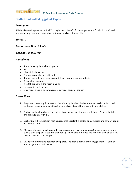<span id="page-49-0"></span>

# **Stuffed and Rolled Eggplant Tapas**

#### *Description*

This is a fantastic appetizer recipe! You might not think of it for bowl games and football, but it's really wonderful any time at all...much better than a bowl of chips and dip.

#### *Serves: 2*

#### *Preparation Time: 15 min*

#### *Cooking Time: 10 min*

#### *Ingredients*

- 1 medium eggplant, about 1 pound
- salt
- olive oil for brushing
- 6 ounces goat cheese, softened
- 1 pinch each: thyme, rosemary, salt, freshly ground pepper to taste
- 4 ripe plum tomatoes
- 4 to tablespoons extra-virgin olive oil
- $\bullet$   $\frac{1}{4}$  cup minced fresh basil
- 6 leaves of arugula or watercress 6 leaves of basil, for garnish

- 1. Prepare a charcoal grill or heat broiler. Cut eggplant lengthwise into slices each 1/4 inch thick or thinner, there should be at least 6 inner slices, discard the slices with lots of skin.
- 2. Sprinkle with salt on both sides, let drain on paper toweling while grill heats. Pat eggplant dry and brush lightly with oil.
- 3. Grill or broil, 4 inches from heat source, until eggplant is golden on both sides and tender, about 10 minutes. Cool.
- 4. Mix goat cheese in small bowl with thyme, rosemary, salt and pepper. Spread cheese mixture evenly over eggplant slices and then roll up. Finely dice tomatoes and mix with olive oil to taste, minced basil, salt and pepper.
- 5. Divide tomato mixture between two plates. Top each plate with three eggplant rolls. Garnish with arugula and basil leaves.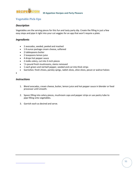<span id="page-50-0"></span>

# **Vegetable Pick-Ups**

#### *Description*

Vegetables are the serving pieces for this fun and tasty party dip. Create the filling in just a few easy steps and pipe it right into your cut veggies for an app that won't require a plate.

#### *Ingredients*

- 2 avocados, seeded, peeled and mashed
- 18 ounce package cream cheese, softened
- 2 tablespoons butter
- 2 teaspoons lemon juice
- 4 drops hot pepper sauce
- 2 stalks celery, cut into 3-inch pieces
- <sup>1</sup>/4 pound fresh mushrooms, stems removed
- 1 each green and red bell pepper, seeded and cut into thick strips
- Garnishes: fresh chives, parsley sprigs, radish slices, olive slices, pecan or walnut halves
- $\bullet$

- 1. Blend avocados, cream cheese, butter, lemon juice and hot pepper sauce in blender or food processor until smooth.
- 2. Spoon filling into celery pieces, mushroom caps and pepper strips or use pastry tube to pipe filling onto vegetables.
- 3. Garnish each as desired and serve.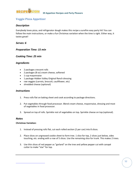<span id="page-51-0"></span>

# **Veggie Pizza Appetizer**

#### *Description*

Everybody loves pizza, and refrigerator dough makes this recipe a surefire easy party hit! You can follow the main instructions, or make a fun Christmas variation when the time is right. Either way, it tastes great!

#### *Serves: 6*

#### *Preparation Time: 15 min*

#### *Cooking Time: 25 min*

#### *Ingredients*

- 2 packages crescent rolls
- 2 packages (8 oz) cream cheese, softened
- 1 cup mayonnaise
- 1 package Hidden Valley Original Ranch dressing
- raw veggies (carrots, broccoli, cauliflower, etc)
- shredded cheese (optional)

#### *Instructions*

- 1. Press rolls flat on baking sheet and cook according to package directions.
- 2. Put vegetables through food processor. Blend cream cheese, mayonnaise, dressing and most of vegetables in food processor.
- 3. Spread on top of rolls. Sprinkle rest of vegetables on top. Sprinkle cheese on top (optional).

#### *Notes*

#### **Christmas Variation:**

- 1. Instead of pressing rolls flat, cut each rolled section (2 per can) into 8 slices.
- 2. Place slices on ungreased cookie sheet to form tree. 1 slice for top, 2 slices just below, sides touching, etc. ending with a row of 5 slices. Use the remaining slice for trunk. This makes 2 trees.
- 3. Use thin slices of red pepper as "garland" on the tree and yellow pepper cut with canapé cutter to make "star" for top.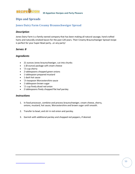<span id="page-52-0"></span>

# **Dips and Spreads**

### **Jones Dairy Farm Creamy Braunschweiger Spread**

#### *Description*

Jones Dairy Farm is a family owned company that has been making all natural sausage, hand crafted hams and naturally smoked bacon for the past 120 years. Their Creamy Braunschweiger Spread recipe is perfect for your Super Bowl party...or any party!

#### *Serves: 8*

#### *Ingredients*

- 21 ounces Jones braunschweiger, cut into chunks
- 1 (8-ounce) package soft cream cheese
- $\bullet$   $\frac{1}{4}$  cup sherry
- 2 tablespoons chopped green onions
- 1 tablespoon prepared mustard
- 1 dash hot sauce
- $\bullet$   $\frac{1}{4}$  teaspoon Worcestershire sauce
- 1 tablespoon brown sugar
- $\bullet$   $\frac{1}{2}$  cup finely diced red onion
- 2 tablespoons finely chopped flat leaf parsley

- 1. In food processor, combine and process braunschweiger, cream cheese, sherry, onions, mustard, hot sauce, Worcestershire and brown sugar until smooth.
- 2. Transfer to bowl, and stir in red onion and parsley.
- 3. Garnish with additional parsley and chopped red peppers, if desired.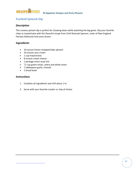<span id="page-53-0"></span>

# **Football Spinach Dip**

#### *Description*

This creamy spinach dip is perfect for chowing down while watching the big game. Dip your favorite chips or toasted pita with this flavorful recipe from Chef Shannah Spencer, sister of New England Patriots Defensive End Jarvis Green.

#### *Ingredients*

- 10 ounces frozen chopped baby spinach
- 16 ounces sour cream
- 1 cup mayonnaise
- 8 ounces cream cheese
- 1 package onion soup mix
- $\bullet$   $\frac{1}{2}$  cup green onion, celery and white onion
- 1 tablespoon garlic, minced
- 1 bread bowl

- 1. Combine all ingredients and chill about 1 hr.
- 2. Serve with your favorite cracker or chip of choice.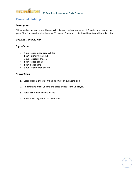<span id="page-54-0"></span>

# **Pam's Hot Chili Dip**

#### *Description*

Chicagoan Pam loves to make this warm chili dip with her husband when his friends come over for the game. This simple recipe takes less than 30 minutes from start to finish and is perfect with tortilla chips.

#### *Cooking Time: 20 min*

#### *Ingredients*

- 4 ounces can diced green chiles
- 1 can Hormel turkey chili
- 8 ounces cream cheese
- 1 can refried beans
- 1 can black beans
- 8 ounces shredded cheese

- 1. Spread cream cheese on the bottom of an oven safe dish.
- 2. Add mixture of chili, beans and diced chilies as the 2nd layer.
- 3. Spread shredded cheese on top.
- 4. Bake at 350 degrees F for 20 minutes.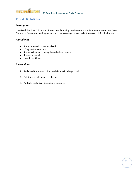<span id="page-55-0"></span>

# **Pico de Gallo Salsa**

#### *Description*

Lime Fresh Mexican Grill is one of most popular dining destinations at the Promenade in Coconut Creek, Florida. Its fast-casual, fresh appetizers such as pico de gallo, are perfect to serve this football season.

#### *Ingredients*

- 2 medium fresh tomatoes, diced
- $\bullet$   $\frac{1}{2}$  Spanish onion, diced
- 1 bunch cilantro, thoroughly washed and minced
- 1 tablespoon salt
- Juice from 4 limes

- 1. Add diced tomatoes, onions and cilantro in a large bowl.
- 2. Cut limes in half; squeeze into mix.
- 3. Add salt, and mix all ingredients thoroughly.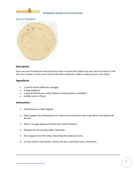<span id="page-56-0"></span>

# **Queso Fundido**



#### *Description*

Don't you love that Mexican cheese dip they serve in restaurants? Make your own version at home! It will taste just as good, and you won't have to deal with waiting for a table or paying anyone a tip. Enjoy!

#### *Ingredients*

- 1 pound chorizo (Mexican sausage)
- 4 large poblanos
- 1 pound Chihuahua or other Mexican melting cheese, shredded
- tortillas (corn or flour)

- 1. Preheat oven to 450F degrees.
- 2. Roast peppers by spitting them on a fork and turning them over a gas flame until blackened all over.
- 3. Place in a paper bag and let steam for twenty minutes.
- 4. Remove skin by running under cold water.
- 5. Slice peppers into thin strips, discarding the seeds and veins.
- 6. Cut the chorizo into chunks, remove the skin, and brown over a low flame.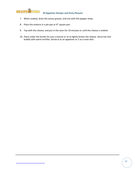

- 7. When cooked, drain the excess grease, and mix with the pepper strips.
- 8. Place the mixture in a pie pan or 8" square pan.
- 9. Top with the cheese, and put in the oven for 10 minutes or until the cheese is melted.
- 10. Place under the broiler for just a minute or so to lightly brown the cheese. Serve hot and bubbly with warm tortillas. Serves 6 as an appetizer or 2 as a main dish.